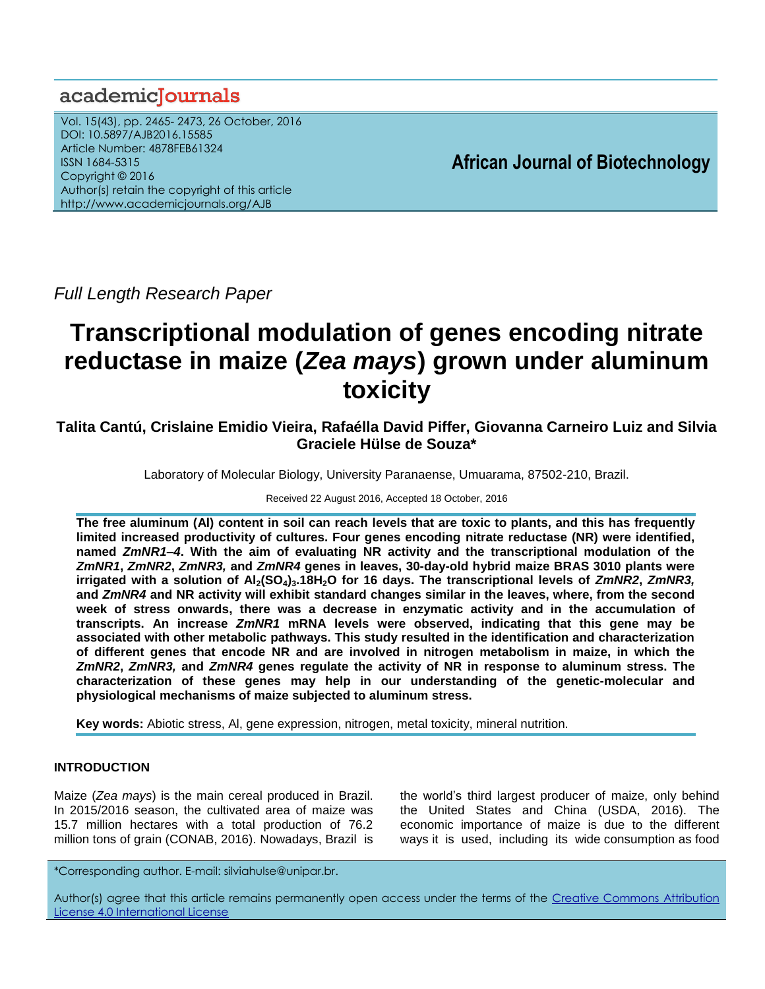# academiclournals

Vol. 15(43), pp. 2465- 2473, 26 October, 2016 DOI: 10.5897/AJB2016.15585 Article Number: 4878FEB61324 ISSN 1684-5315 Copyright © 2016 Author(s) retain the copyright of this article http://www.academicjournals.org/AJB

**African Journal of Biotechnology**

*Full Length Research Paper*

# **Transcriptional modulation of genes encoding nitrate reductase in maize (***Zea mays***) grown under aluminum toxicity**

# **Talita Cantú, Crislaine Emidio Vieira, Rafaélla David Piffer, Giovanna Carneiro Luiz and Silvia Graciele Hülse de Souza\***

Laboratory of Molecular Biology, University Paranaense, Umuarama, 87502-210, Brazil.

Received 22 August 2016, Accepted 18 October, 2016

**The free aluminum (Al) content in soil can reach levels that are toxic to plants, and this has frequently limited increased productivity of cultures. Four genes encoding nitrate reductase (NR) were identified, named** *ZmNR1–4***. With the aim of evaluating NR activity and the transcriptional modulation of the**  *ZmNR1***,** *ZmNR2***,** *ZmNR3,* **and** *ZmNR4* **genes in leaves, 30-day-old hybrid maize BRAS 3010 plants were irrigated with a solution of Al2(SO4)3.18H2O for 16 days. The transcriptional levels of** *ZmNR2***,** *ZmNR3,* **and** *ZmNR4* **and NR activity will exhibit standard changes similar in the leaves, where, from the second week of stress onwards, there was a decrease in enzymatic activity and in the accumulation of transcripts. An increase** *ZmNR1* **mRNA levels were observed, indicating that this gene may be associated with other metabolic pathways. This study resulted in the identification and characterization of different genes that encode NR and are involved in nitrogen metabolism in maize, in which the**  *ZmNR2***,** *ZmNR3,* **and** *ZmNR4* **genes regulate the activity of NR in response to aluminum stress. The characterization of these genes may help in our understanding of the genetic-molecular and physiological mechanisms of maize subjected to aluminum stress.**

**Key words:** Abiotic stress, Al, gene expression, nitrogen, metal toxicity, mineral nutrition.

# **INTRODUCTION**

Maize (*Zea mays*) is the main cereal produced in Brazil. In 2015/2016 season, the cultivated area of maize was 15.7 million hectares with a total production of 76.2 million tons of grain (CONAB, 2016). Nowadays, Brazil is

the world's third largest producer of maize, only behind the United States and China (USDA, 2016). The economic importance of maize is due to the different ways it is used, including its wide consumption as food

\*Corresponding author. E-mail: [silviahulse@unipar.br.](mailto:silviahulse@unipar.br) 

Author(s) agree that this article remains permanently open access under the terms of the Creative Commons Attribution [License 4.0 International License](http://creativecommons.org/licenses/by/4.0/deed.en_US)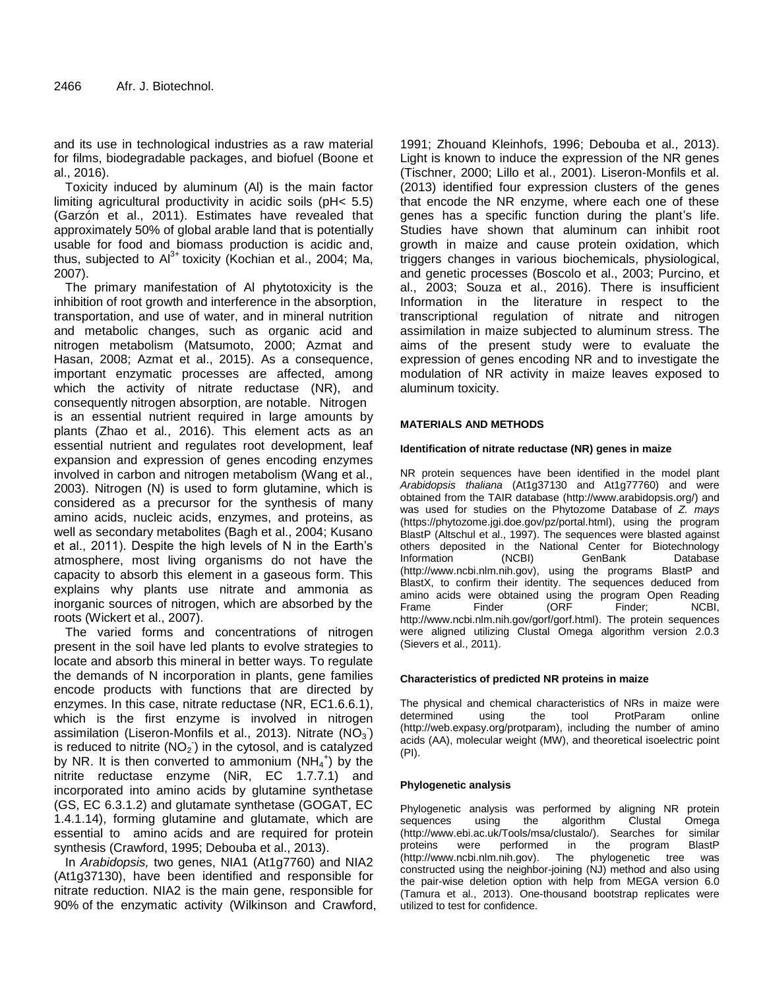and its use in technological industries as a raw material for films, biodegradable packages, and biofuel (Boone et al., 2016).

Toxicity induced by aluminum (Al) is the main factor limiting agricultural productivity in acidic soils (pH< 5.5) (Garzón et al., 2011). Estimates have revealed that approximately 50% of global arable land that is potentially usable for food and biomass production is acidic and, thus, subjected to  $Al^{3+}$  toxicity (Kochian et al., 2004; Ma, 2007).

The primary manifestation of Al phytotoxicity is the inhibition of root growth and interference in the absorption, transportation, and use of water, and in mineral nutrition and metabolic changes, such as organic acid and nitrogen metabolism (Matsumoto, 2000; Azmat and Hasan, 2008; Azmat et al., 2015). As a consequence, important enzymatic processes are affected, among which the activity of nitrate reductase (NR), and consequently nitrogen absorption, are notable. Nitrogen is an essential nutrient required in large amounts by plants (Zhao et al., 2016). This element acts as an essential nutrient and regulates root development, leaf expansion and expression of genes encoding enzymes involved in carbon and nitrogen metabolism (Wang et al., 2003). Nitrogen (N) is used to form glutamine, which is considered as a precursor for the synthesis of many amino acids, nucleic acids, enzymes, and proteins, as well as secondary metabolites (Bagh et al., 2004; Kusano et al., 2011). Despite the high levels of N in the Earth's atmosphere, most living organisms do not have the capacity to absorb this element in a gaseous form. This explains why plants use nitrate and ammonia as inorganic sources of nitrogen, which are absorbed by the roots (Wickert et al., 2007).

The varied forms and concentrations of nitrogen present in the soil have led plants to evolve strategies to locate and absorb this mineral in better ways. To regulate the demands of N incorporation in plants, gene families encode products with functions that are directed by enzymes. In this case, nitrate reductase (NR, EC1.6.6.1), which is the first enzyme is involved in nitrogen assimilation (Liseron-Monfils et al., 2013). Nitrate (NO<sub>3</sub>) is reduced to nitrite (NO<sub>2</sub>) in the cytosol, and is catalyzed by NR. It is then converted to ammonium  $(NH_4^+)$  by the nitrite reductase enzyme (NiR, EC 1.7.7.1) and incorporated into amino acids by glutamine synthetase (GS, EC 6.3.1.2) and glutamate synthetase (GOGAT, EC 1.4.1.14), forming glutamine and glutamate, which are essential to amino acids and are required for protein synthesis (Crawford, 1995; Debouba et al., 2013).

In *Arabidopsis,* two genes, NIA1 (At1g7760) and NIA2 (At1g37130), have been identified and responsible for nitrate reduction. NIA2 is the main gene, responsible for 90% of the enzymatic activity (Wilkinson and Crawford, 1991; Zhouand Kleinhofs, 1996; Debouba et al., 2013). Light is known to induce the expression of the NR genes (Tischner, 2000; Lillo et al., 2001). Liseron-Monfils et al. (2013) identified four expression clusters of the genes that encode the NR enzyme, where each one of these genes has a specific function during the plant's life. Studies have shown that aluminum can inhibit root growth in maize and cause protein oxidation, which triggers changes in various biochemicals, physiological, and genetic processes (Boscolo et al., 2003; Purcino, et al., 2003; Souza et al., 2016). There is insufficient Information in the literature in respect to the transcriptional regulation of nitrate and nitrogen assimilation in maize subjected to aluminum stress. The aims of the present study were to evaluate the expression of genes encoding NR and to investigate the modulation of NR activity in maize leaves exposed to aluminum toxicity.

#### **MATERIALS AND METHODS**

#### **Identification of nitrate reductase (NR) genes in maize**

NR protein sequences have been identified in the model plant *Arabidopsis thaliana* (At1g37130 and At1g77760) and were obtained from the TAIR database [\(http://www.arabidopsis.org/\)](http://www.arabidopsis.org/) and was used for studies on the Phytozome Database of *Z. mays* [\(https://phytozome.jgi.doe.gov/pz/portal.html\)](https://phytozome.jgi.doe.gov/pz/portal.html), using the program BlastP (Altschul et al., 1997). The sequences were blasted against others deposited in the National Center for Biotechnology Information (NCBI) GenBank Database [\(http://www.ncbi.nlm.nih.gov\)](http://www.ncbi.nlm.nih.gov/), using the programs BlastP and BlastX, to confirm their identity. The sequences deduced from amino acids were obtained using the program Open Reading Frame Finder (ORF Finder; NCBI, [http://www.ncbi.nlm.nih.gov/gorf/gorf.html\)](http://www.ncbi.nlm.nih.gov/gorf/gorf.html). The protein sequences were aligned utilizing Clustal Omega algorithm version 2.0.3 (Sievers et al., 2011).

#### **Characteristics of predicted NR proteins in maize**

The physical and chemical characteristics of NRs in maize were determined using the tool ProtParam online [\(http://web.expasy.org/protparam\)](http://web.expasy.org/protparam), including the number of amino acids (AA), molecular weight (MW), and theoretical isoelectric point (PI).

#### **Phylogenetic analysis**

Phylogenetic analysis was performed by aligning NR protein sequences using the algorithm Clustal Omega [\(http://www.ebi.ac.uk/Tools/msa/clustalo/\)](http://www.ebi.ac.uk/Tools/msa/clustalo/). Searches for similar were performed in the [\(http://www.ncbi.nlm.nih.gov\)](http://www.ncbi.nlm.nih.gov/). The phylogenetic tree was constructed using the neighbor-joining (NJ) method and also using the pair-wise deletion option with help from MEGA version 6.0 (Tamura et al., 2013). One-thousand bootstrap replicates were utilized to test for confidence.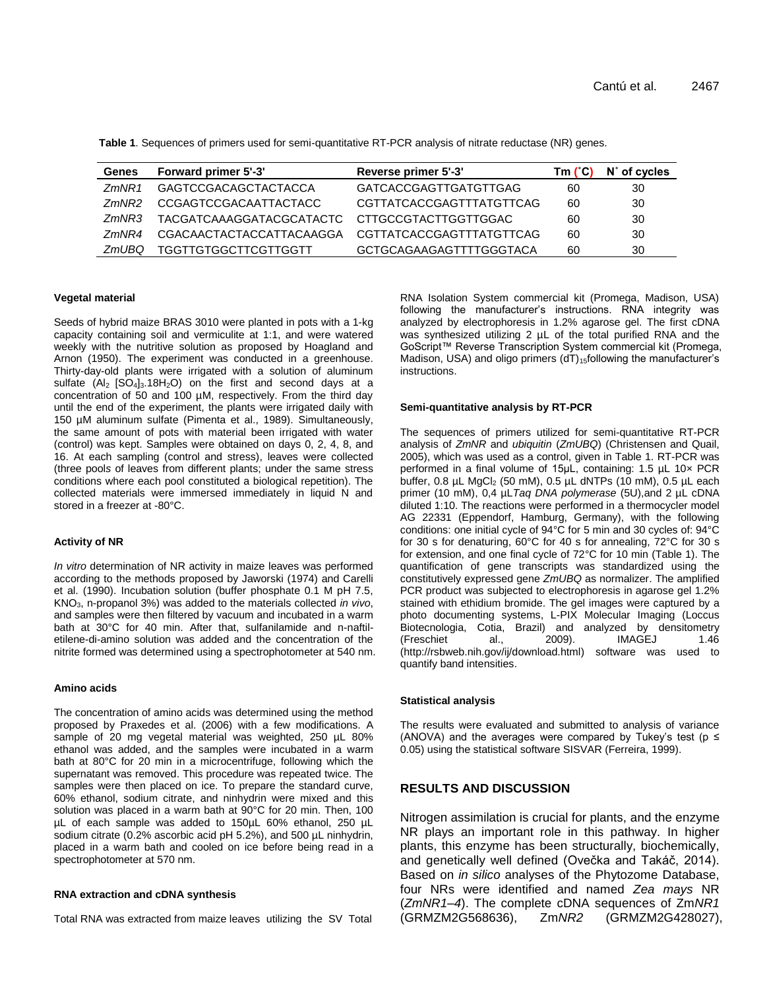| <b>Genes</b>  | Forward primer 5'-3'     | Reverse primer 5'-3'     | Tm (°C) | N° of cycles |
|---------------|--------------------------|--------------------------|---------|--------------|
| <i>7mNR1</i>  | GAGTCCGACAGCTACTACCA     | GATCACCGAGTTGATGTTGAG    | 60      | 30           |
| <i>7mNR</i> 2 | CCGAGTCCGACAATTACTACC    | CGTTATCACCGAGTTTATGTTCAG | 60      | 30           |
| <i>7mNR3</i>  | TACGATCAAAGGATACGCATACTC | CTTGCCGTACTTGGTTGGAC     | 60      | 30           |
| <i>7mNR4</i>  | CGACAACTACTACCATTACAAGGA | CGTTATCACCGAGTTTATGTTCAG | 60      | 30           |
| ZmUBQ         | TGGTTGTGGCTTCGTTGGTT     | GCTGCAGAAGAGTTTTGGGTACA  | 60      | 30           |

**Table 1**. Sequences of primers used for semi-quantitative RT-PCR analysis of nitrate reductase (NR) genes.

#### **Vegetal material**

Seeds of hybrid maize BRAS 3010 were planted in pots with a 1-kg capacity containing soil and vermiculite at 1:1, and were watered weekly with the nutritive solution as proposed by Hoagland and Arnon (1950). The experiment was conducted in a greenhouse. Thirty-day-old plants were irrigated with a solution of aluminum sulfate  $(A_2$   $[SO_4]_3.18H_2O$ ) on the first and second days at a concentration of 50 and 100 µM, respectively. From the third day until the end of the experiment, the plants were irrigated daily with 150 µM aluminum sulfate (Pimenta et al., 1989). Simultaneously, the same amount of pots with material been irrigated with water (control) was kept. Samples were obtained on days 0, 2, 4, 8, and 16. At each sampling (control and stress), leaves were collected (three pool*s* of leaves from different plants; under the same stress conditions where each pool constituted a biological repetition). The collected materials were immersed immediately in liquid N and stored in a freezer at -80°C.

#### **Activity of NR**

*In vitro* determination of NR activity in maize leaves was performed according to the methods proposed by Jaworski (1974) and Carelli et al. (1990). Incubation solution (buffer phosphate 0.1 M pH 7.5, KNO3, n-propanol 3%) was added to the materials collected *in vivo*, and samples were then filtered by vacuum and incubated in a warm bath at 30°C for 40 min. After that, sulfanilamide and n-naftiletilene-di-amino solution was added and the concentration of the nitrite formed was determined using a spectrophotometer at 540 nm.

#### **Amino acids**

The concentration of amino acids was determined using the method proposed by Praxedes et al. (2006) with a few modifications. A sample of 20 mg vegetal material was weighted, 250 µL 80% ethanol was added, and the samples were incubated in a warm bath at 80°C for 20 min in a microcentrifuge, following which the supernatant was removed. This procedure was repeated twice. The samples were then placed on ice. To prepare the standard curve, 60% ethanol, sodium citrate, and ninhydrin were mixed and this solution was placed in a warm bath at 90°C for 20 min. Then, 100 µL of each sample was added to 150µL 60% ethanol, 250 µL sodium citrate (0.2% ascorbic acid pH 5.2%), and 500 µL ninhydrin, placed in a warm bath and cooled on ice before being read in a spectrophotometer at 570 nm.

#### **RNA extraction and cDNA synthesis**

Total RNA was extracted from maize leaves utilizing the SV Total

RNA Isolation System commercial kit (Promega, Madison, USA) following the manufacturer's instructions. RNA integrity was analyzed by electrophoresis in 1.2% agarose gel. The first cDNA was synthesized utilizing 2  $\mu$ L of the total purified RNA and the GoScript™ Reverse Transcription System commercial kit (Promega, Madison, USA) and oligo primers  $(dT)_{15}$ following the manufacturer's instructions.

#### **Semi-quantitative analysis by RT-PCR**

The sequences of primers utilized for semi-quantitative RT-PCR analysis of *ZmNR* and *ubiquitin* (*ZmUBQ*) (Christensen and Quail, 2005), which was used as a control, given in Table 1. RT-PCR was performed in a final volume of 15μL, containing: 1.5 µL 10× PCR buffer,  $0.8$  µL MgCl<sub>2</sub> (50 mM),  $0.5$  µL dNTPs (10 mM),  $0.5$  µL each primer (10 mM), 0,4 µL*Taq DNA polymerase* (5U),and 2 µL cDNA diluted 1:10. The reactions were performed in a thermocycler model AG 22331 (Eppendorf, Hamburg, Germany), with the following conditions: one initial cycle of 94°C for 5 min and 30 cycles of: 94°C for 30 s for denaturing, 60°C for 40 s for annealing, 72°C for 30 s for extension, and one final cycle of 72°C for 10 min (Table 1). The quantification of gene transcripts was standardized using the constitutively expressed gene *ZmUBQ* as normalizer. The amplified PCR product was subjected to electrophoresis in agarose gel 1.2% stained with ethidium bromide. The gel images were captured by a photo documenting systems, L-PIX Molecular Imaging (Loccus Biotecnologia, Cotia, Brazil) and analyzed by densitometry (Freschiet al., 2009). IMAGEJ 1.46 [\(http://rsbweb.nih.gov/ij/download.html\)](http://rsbweb.nih.gov/ij/download.html) software was used to quantify band intensities.

#### **Statistical analysis**

The results were evaluated and submitted to analysis of variance (ANOVA) and the averages were compared by Tukey's test ( $p \le$ 0.05) using the statistical software SISVAR (Ferreira, 1999).

## **RESULTS AND DISCUSSION**

Nitrogen assimilation is crucial for plants, and the enzyme NR plays an important role in this pathway. In higher plants, this enzyme has been structurally, biochemically, and genetically well defined (Ovečka and Takáč, 2014). Based on *in silico* analyses of the Phytozome Database, four NRs were identified and named *Zea mays* NR (*ZmNR1–4*). The complete cDNA sequences of Zm*NR1* (GRMZM2G568636), Zm*NR2* (GRMZM2G428027),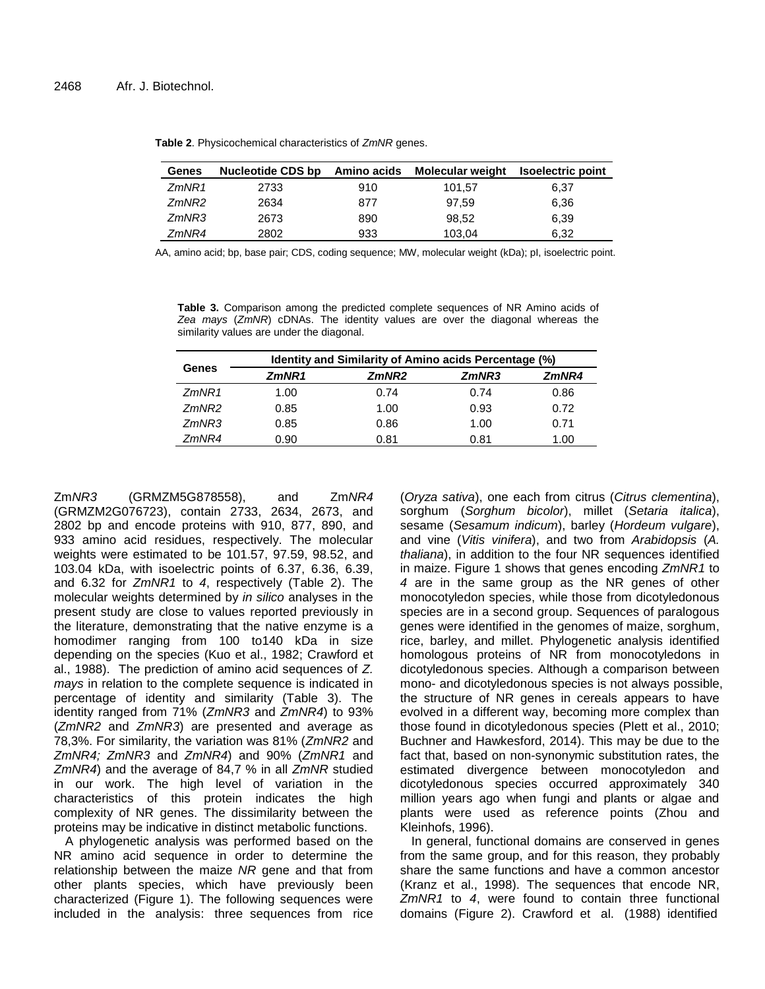| Genes | <b>Nucleotide CDS bp</b> | Amino acids | <b>Molecular weight</b> | <b>Isoelectric point</b> |
|-------|--------------------------|-------------|-------------------------|--------------------------|
| ZmNR1 | 2733                     | 910         | 101.57                  | 6,37                     |
| ZmNR2 | 2634                     | 877         | 97.59                   | 6,36                     |
| ZmNR3 | 2673                     | 890         | 98.52                   | 6,39                     |
| 7mNR4 | 2802                     | 933         | 103,04                  | 6,32                     |

**Table 2**. Physicochemical characteristics of *ZmNR* genes.

AA, amino acid; bp, base pair; CDS, coding sequence; MW, molecular weight (kDa); pI, isoelectric point.

**Table 3.** Comparison among the predicted complete sequences of NR Amino acids of *Zea mays* (*ZmNR*) cDNAs. The identity values are over the diagonal whereas the similarity values are under the diagonal.

|              | Identity and Similarity of Amino acids Percentage (%) |                   |       |       |  |
|--------------|-------------------------------------------------------|-------------------|-------|-------|--|
| Genes        | ZmNR1                                                 | ZmNR <sub>2</sub> | ZmNR3 | ZmNR4 |  |
| ZmNR1        | 1.00                                                  | 0.74              | 0.74  | 0.86  |  |
| <i>7mNR2</i> | 0.85                                                  | 1.00              | 0.93  | 0.72  |  |
| ZmNR3        | 0.85                                                  | 0.86              | 1.00  | 0.71  |  |
| <i>7mNR4</i> | 0.90                                                  | 0.81              | 0.81  | 1.00  |  |

Zm*NR3* (GRMZM5G878558), and Zm*NR4*  (GRMZM2G076723), contain 2733, 2634, 2673, and 2802 bp and encode proteins with 910, 877, 890, and 933 amino acid residues, respectively. The molecular weights were estimated to be 101.57, 97.59, 98.52, and 103.04 kDa, with isoelectric points of 6.37, 6.36, 6.39, and 6.32 for *ZmNR1* to *4*, respectively (Table 2). The molecular weights determined by *in silico* analyses in the present study are close to values reported previously in the literature, demonstrating that the native enzyme is a homodimer ranging from 100 to140 kDa in size depending on the species (Kuo et al., 1982; Crawford et al., 1988). The prediction of amino acid sequences of *Z. mays* in relation to the complete sequence is indicated in percentage of identity and similarity (Table 3). The identity ranged from 71% (*ZmNR3* and *ZmNR4*) to 93% (*ZmNR2* and *ZmNR3*) are presented and average as 78,3%. For similarity, the variation was 81% (*ZmNR2* and *ZmNR4; ZmNR3* and *ZmNR4*) and 90% (*ZmNR1* and *ZmNR4*) and the average of 84,7 % in all *ZmNR* studied in our work. The high level of variation in the characteristics of this protein indicates the high complexity of NR genes. The dissimilarity between the proteins may be indicative in distinct metabolic functions.

A phylogenetic analysis was performed based on the NR amino acid sequence in order to determine the relationship between the maize *NR* gene and that from other plants species, which have previously been characterized (Figure 1). The following sequences were included in the analysis: three sequences from rice (*Oryza sativa*), one each from citrus (*Citrus clementina*), sorghum (*Sorghum bicolor*), millet (*Setaria italica*), sesame (*Sesamum indicum*), barley (*Hordeum vulgare*), and vine (*Vitis vinifera*), and two from *Arabidopsis* (*A. thaliana*), in addition to the four NR sequences identified in maize. Figure 1 shows that genes encoding *ZmNR1* to *4* are in the same group as the NR genes of other monocotyledon species, while those from dicotyledonous species are in a second group. Sequences of paralogous genes were identified in the genomes of maize, sorghum, rice, barley, and millet. Phylogenetic analysis identified homologous proteins of NR from monocotyledons in dicotyledonous species. Although a comparison between mono- and dicotyledonous species is not always possible, the structure of NR genes in cereals appears to have evolved in a different way, becoming more complex than those found in dicotyledonous species (Plett et al., 2010; Buchner and Hawkesford, 2014). This may be due to the fact that, based on non-synonymic substitution rates, the estimated divergence between monocotyledon and dicotyledonous species occurred approximately 340 million years ago when fungi and plants or algae and plants were used as reference points (Zhou and Kleinhofs, 1996).

In general, functional domains are conserved in genes from the same group, and for this reason, they probably share the same functions and have a common ancestor (Kranz et al., 1998). The sequences that encode NR, *ZmNR1* to *4*, were found to contain three functional domains (Figure 2). Crawford et al. (1988) identified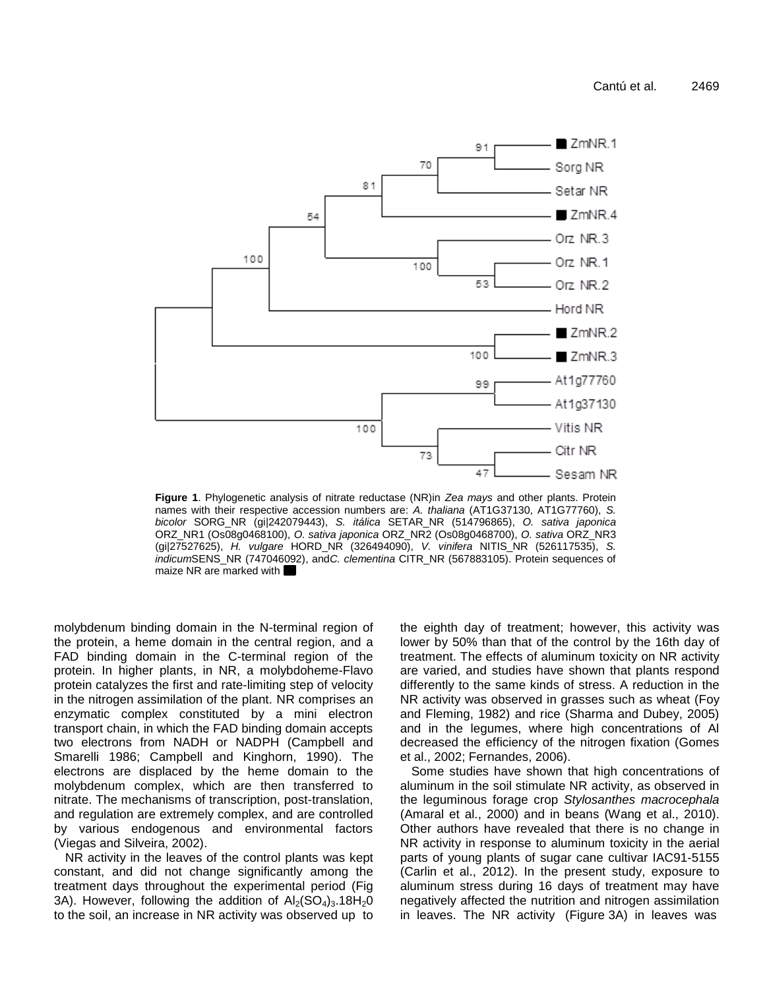

**Figure 1**. Phylogenetic analysis of nitrate reductase (NR)in *Zea mays* and other plants. Protein names with their respective accession numbers are: *A. thaliana* (AT1G37130, AT1G77760), *S. bicolor* SORG\_NR (gi|242079443), *S. itálica* SETAR\_NR (514796865), *O. sativa japonica* ORZ\_NR1 (Os08g0468100), *O. sativa japonica* ORZ\_NR2 (Os08g0468700), *O. sativa* ORZ\_NR3 (gi|27527625), *H. vulgare* HORD\_NR (326494090), *V. vinifera* NITIS\_NR (526117535), *S. indicum*SENS\_NR (747046092), and*C. clementina* CITR\_NR (567883105). Protein sequences of maize NR are marked with

molybdenum binding domain in the N-terminal region of the protein, a heme domain in the central region, and a FAD binding domain in the C-terminal region of the protein. In higher plants, in NR, a molybdoheme-Flavo protein catalyzes the first and rate-limiting step of velocity in the nitrogen assimilation of the plant. NR comprises an enzymatic complex constituted by a mini electron transport chain, in which the FAD binding domain accepts two electrons from NADH or NADPH (Campbell and Smarelli 1986; Campbell and Kinghorn, 1990). The electrons are displaced by the heme domain to the molybdenum complex, which are then transferred to nitrate. The mechanisms of transcription, post-translation, and regulation are extremely complex, and are controlled by various endogenous and environmental factors (Viegas and Silveira, 2002).

NR activity in the leaves of the control plants was kept constant, and did not change significantly among the treatment days throughout the experimental period (Fig 3A). However, following the addition of  $Al_2(SO<sub>4</sub>)_3.18H<sub>2</sub>O$ to the soil, an increase in NR activity was observed up to the eighth day of treatment; however, this activity was lower by 50% than that of the control by the 16th day of treatment. The effects of aluminum toxicity on NR activity are varied, and studies have shown that plants respond differently to the same kinds of stress. A reduction in the NR activity was observed in grasses such as wheat (Foy and Fleming, 1982) and rice (Sharma and Dubey, 2005) and in the legumes, where high concentrations of Al decreased the efficiency of the nitrogen fixation (Gomes et al., 2002; Fernandes, 2006).

Some studies have shown that high concentrations of aluminum in the soil stimulate NR activity, as observed in the leguminous forage crop *Stylosanthes macrocephala* (Amaral et al., 2000) and in beans (Wang et al., 2010). Other authors have revealed that there is no change in NR activity in response to aluminum toxicity in the aerial parts of young plants of sugar cane cultivar IAC91-5155 (Carlin et al., 2012). In the present study, exposure to aluminum stress during 16 days of treatment may have negatively affected the nutrition and nitrogen assimilation in leaves. The NR activity (Figure 3A) in leaves was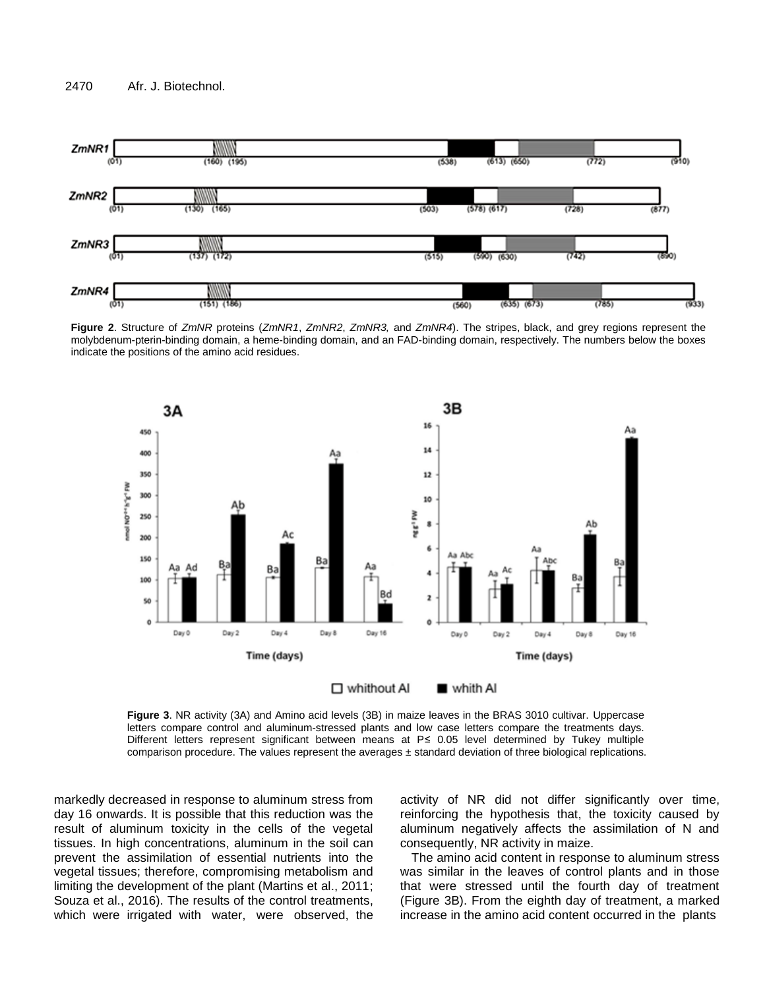





**Figure 3**. NR activity (3A) and Amino acid levels (3B) in maize leaves in the BRAS 3010 cultivar. Uppercase letters compare control and aluminum-stressed plants and low case letters compare the treatments days. Different letters represent significant between means at P≤ 0.05 level determined by Tukey multiple comparison procedure. The values represent the averages  $\pm$  standard deviation of three biological replications.

markedly decreased in response to aluminum stress from day 16 onwards. It is possible that this reduction was the result of aluminum toxicity in the cells of the vegetal tissues. In high concentrations, aluminum in the soil can prevent the assimilation of essential nutrients into the vegetal tissues; therefore, compromising metabolism and limiting the development of the plant (Martins et al., 2011; Souza et al., 2016). The results of the control treatments, which were irrigated with water, were observed, the activity of NR did not differ significantly over time, reinforcing the hypothesis that, the toxicity caused by aluminum negatively affects the assimilation of N and consequently, NR activity in maize.

The amino acid content in response to aluminum stress was similar in the leaves of control plants and in those that were stressed until the fourth day of treatment (Figure 3B). From the eighth day of treatment, a marked increase in the amino acid content occurred in the plants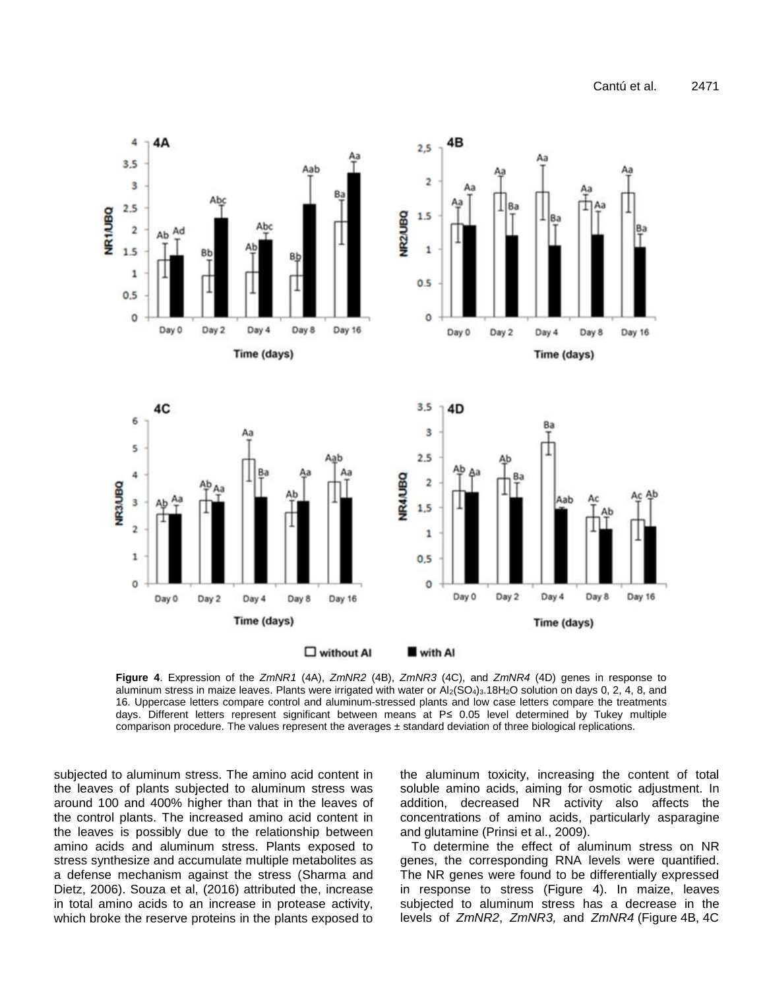

**Figure 4**. Expression of the *ZmNR1* (4A), *ZmNR2* (4B), *ZmNR3* (4C), and *ZmNR4* (4D) genes in response to aluminum stress in maize leaves. Plants were irrigated with water or  $Al_2(SO_4)_3.18H_2O$  solution on days 0, 2, 4, 8, and 16. Uppercase letters compare control and aluminum-stressed plants and low case letters compare the treatments days. Different letters represent significant between means at P≤ 0.05 level determined by Tukey multiple comparison procedure. The values represent the averages ± standard deviation of three biological replications.

subjected to aluminum stress. The amino acid content in the leaves of plants subjected to aluminum stress was around 100 and 400% higher than that in the leaves of the control plants. The increased amino acid content in the leaves is possibly due to the relationship between amino acids and aluminum stress. Plants exposed to stress synthesize and accumulate multiple metabolites as a defense mechanism against the stress (Sharma and Dietz, 2006). Souza et al, (2016) attributed the, increase in total amino acids to an increase in protease activity, which broke the reserve proteins in the plants exposed to

the aluminum toxicity, increasing the content of total soluble amino acids, aiming for osmotic adjustment. In addition, decreased NR activity also affects the concentrations of amino acids, particularly asparagine and glutamine (Prinsi et al., 2009).

To determine the effect of aluminum stress on NR genes, the corresponding RNA levels were quantified. The NR genes were found to be differentially expressed in response to stress (Figure 4). In maize, leaves subjected to aluminum stress has a decrease in the levels of *ZmNR2*, *ZmNR3,* and *ZmNR4* (Figure 4B, 4C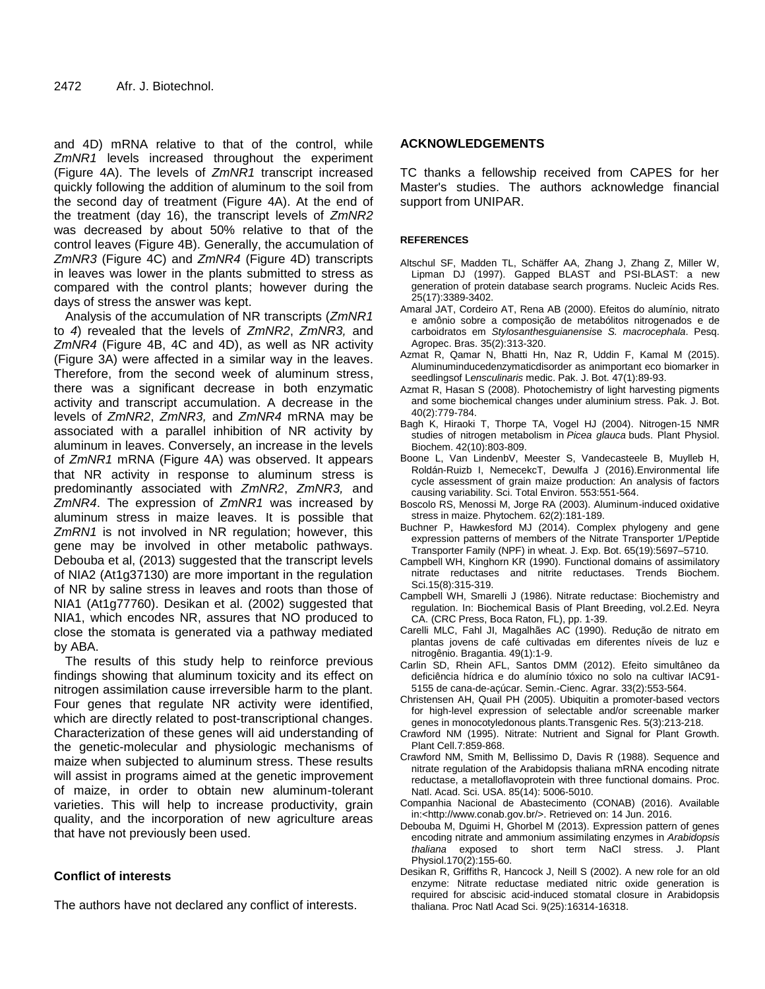and 4D) mRNA relative to that of the control, while *ZmNR1* levels increased throughout the experiment (Figure 4A). The levels of *ZmNR1* transcript increased quickly following the addition of aluminum to the soil from the second day of treatment (Figure 4A). At the end of the treatment (day 16), the transcript levels of *ZmNR2* was decreased by about 50% relative to that of the control leaves (Figure 4B). Generally, the accumulation of *ZmNR3* (Figure 4C) and *ZmNR4* (Figure 4D) transcripts in leaves was lower in the plants submitted to stress as compared with the control plants; however during the days of stress the answer was kept.

Analysis of the accumulation of NR transcripts (*ZmNR1* to *4*) revealed that the levels of *ZmNR2*, *ZmNR3,* and *ZmNR4* (Figure 4B, 4C and 4D), as well as NR activity (Figure 3A) were affected in a similar way in the leaves. Therefore, from the second week of aluminum stress, there was a significant decrease in both enzymatic activity and transcript accumulation. A decrease in the levels of *ZmNR2*, *ZmNR3,* and *ZmNR4* mRNA may be associated with a parallel inhibition of NR activity by aluminum in leaves. Conversely, an increase in the levels of *ZmNR1* mRNA (Figure 4A) was observed. It appears that NR activity in response to aluminum stress is predominantly associated with *ZmNR2*, *ZmNR3,* and *ZmNR4*. The expression of *ZmNR1* was increased by aluminum stress in maize leaves. It is possible that *ZmRN1* is not involved in NR regulation; however, this gene may be involved in other metabolic pathways. Debouba et al, (2013) suggested that the transcript levels of NIA2 (At1g37130) are more important in the regulation of NR by saline stress in leaves and roots than those of NIA1 (At1g77760). Desikan et al. (2002) suggested that NIA1, which encodes NR, assures that NO produced to close the stomata is generated via a pathway mediated by ABA.

The results of this study help to reinforce previous findings showing that aluminum toxicity and its effect on nitrogen assimilation cause irreversible harm to the plant. Four genes that regulate NR activity were identified, which are directly related to post-transcriptional changes. Characterization of these genes will aid understanding of the genetic-molecular and physiologic mechanisms of maize when subjected to aluminum stress. These results will assist in programs aimed at the genetic improvement of maize, in order to obtain new aluminum-tolerant varieties. This will help to increase productivity, grain quality, and the incorporation of new agriculture areas that have not previously been used.

# **Conflict of interests**

The authors have not declared any conflict of interests.

## **ACKNOWLEDGEMENTS**

TC thanks a fellowship received from CAPES for her Master's studies. The authors acknowledge financial support from UNIPAR.

### **REFERENCES**

- Altschul SF, Madden TL, Schäffer AA, Zhang J, Zhang Z, Miller W, Lipman DJ (1997). Gapped BLAST and PSI-BLAST: a new generation of protein database search programs. Nucleic Acids Res. 25(17):3389-3402.
- Amaral JAT, Cordeiro AT, Rena AB (2000). Efeitos do alumínio, nitrato e amônio sobre a composição de metabólitos nitrogenados e de carboidratos em *Stylosanthesguianensis*e *S. macrocephala*. Pesq. Agropec. Bras. 35(2):313-320.
- Azmat R, Qamar N, Bhatti Hn, Naz R, Uddin F, Kamal M (2015). Aluminuminducedenzymaticdisorder as animportant eco biomarker in seedlingsof L*ensculinaris* medic. Pak. J. Bot. 47(1):89-93.
- Azmat R, Hasan S (2008). Photochemistry of light harvesting pigments and some biochemical changes under aluminium stress. Pak. J. Bot. 40(2):779-784.
- Bagh K, Hiraoki T, Thorpe TA, Vogel HJ (2004). Nitrogen-15 NMR studies of nitrogen metabolism in *Picea glauca* buds. Plant Physiol. Biochem. 42(10):803-809.
- Boone L, Van LindenbV, Meester S, Vandecasteele B, Muylleb H, Roldán-Ruizb I, NemecekcT, Dewulfa J (2016).Environmental life cycle assessment of grain maize production: An analysis of factors causing variability. Sci. Total Environ. 553:551-564.
- Boscolo RS, Menossi M, Jorge RA (2003). Aluminum-induced oxidative stress in maize. Phytochem. 62(2):181-189.
- Buchner P, Hawkesford MJ (2014). Complex phylogeny and gene expression patterns of members of the Nitrate Transporter 1/Peptide Transporter Family (NPF) in wheat. J. Exp. Bot. 65(19):5697–5710.
- Campbell WH, Kinghorn KR (1990). Functional domains of assimilatory nitrate reductases and nitrite reductases. Trends Biochem. Sci.15(8):315-319.
- Campbell WH, Smarelli J (1986). Nitrate reductase: Biochemistry and regulation. In: Biochemical Basis of Plant Breeding, vol.2.Ed. Neyra CA. (CRC Press, Boca Raton, FL), pp. 1-39.
- Carelli MLC, Fahl JI, Magalhães AC (1990). Redução de nitrato em plantas jovens de café cultivadas em diferentes níveis de luz e nitrogênio. Bragantia. 49(1):1-9.
- Carlin SD, Rhein AFL, [Santos](http://lattes.cnpq.br/8859564182139636) DMM (2012). Efeito simultâneo da deficiência hídrica e do alumínio tóxico no solo na cultivar IAC91- 5155 de cana-de-açúcar. Semin.-Cienc. Agrar. 33(2):553-564.
- Christensen AH, Quail PH (2005). Ubiquitin a promoter-based vectors for high-level expression of selectable and/or screenable marker genes in monocotyledonous plants.Transgenic Res. 5(3):213-218.
- Crawford NM (1995). Nitrate: Nutrient and Signal for Plant Growth. Plant Cell.7:859-868.
- Crawford NM, Smith M, Bellissimo D, Davis R (1988). Sequence and nitrate regulation of the Arabidopsis thaliana mRNA encoding nitrate reductase, a metalloflavoprotein with three functional domains. Proc. Natl. Acad. Sci. USA. 85(14): 5006-5010.
- Companhia Nacional de Abastecimento (CONAB) (2016). Available in:<http://www.conab.gov.br/>. Retrieved on: 14 Jun. 2016.
- Debouba M, Dguimi H, Ghorbel M (2013). Expression pattern of genes encoding nitrate and ammonium assimilating enzymes in *Arabidopsis thaliana* exposed to short term NaCl stress. J. Plant Physiol.170(2):155-60.
- Desikan R, Griffiths R, Hancock J, Neill S (2002). A new role for an old enzyme: Nitrate reductase mediated nitric oxide generation is required for abscisic acid-induced stomatal closure in Arabidopsis thaliana. Proc Natl Acad Sci. 9(25):16314-16318.